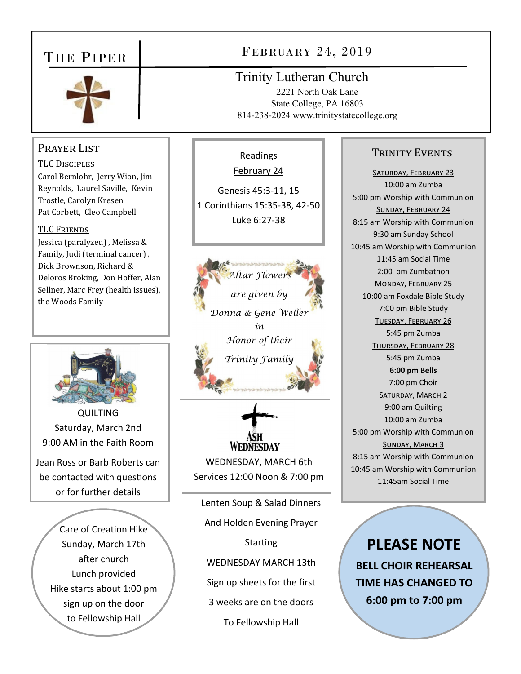# THE PIPER



## Prayer List

TLC DISCIPLES Carol Bernlohr, Jerry Wion, Jim Reynolds, Laurel Saville, Kevin Trostle, Carolyn Kresen, Pat Corbett, Cleo Campbell

#### **TLC FRIENDS**

Jessica (paralyzed) , Melissa & Family, Judi (terminal cancer) , Dick Brownson, Richard & Deloros Broking, Don Hoffer, Alan Sellner, Marc Frey (health issues), the Woods Family



QUILTING Saturday, March 2nd 9:00 AM in the Faith Room

Jean Ross or Barb Roberts can be contacted with questions or for further details

> Care of Creation Hike Sunday, March 17th after church Lunch provided Hike starts about 1:00 pm sign up on the door to Fellowship Hall

# FEBRUARY 24, 2019

Trinity Lutheran Church

Readings February 24

Genesis 45:3‐11, 15 1 Corinthians 15:35‐38, 42‐50 Luke 6:27‐38

*Altar Flower* 

*are given by* 

*Donna & Gene Weller in Honor of their* 

*Trinity Family* 

2221 North Oak Lane State College, PA 16803 814-238-2024 www.trinitystatecollege.org

## TRINITY EVENTS

SATURDAY, FEBRUARY 23 10:00 am Zumba 5:00 pm Worship with Communion SUNDAY, FEBRUARY 24 8:15 am Worship with Communion 9:30 am Sunday School 10:45 am Worship with Communion 11:45 am Social Time 2:00 pm Zumbathon MONDAY, FEBRUARY 25 10:00 am Foxdale Bible Study 7:00 pm Bible Study TUESDAY, FEBRUARY 26 5:45 pm Zumba THURSDAY, FEBRUARY 28 5:45 pm Zumba **6:00 pm Bells** 7:00 pm Choir SATURDAY, MARCH 2 9:00 am Quilting 10:00 am Zumba 5:00 pm Worship with Communion SUNDAY, MARCH 3 8:15 am Worship with Communion 10:45 am Worship with Communion 11:45am Social Time

Lenten Soup & Salad Dinners And Holden Evening Prayer **Starting** WEDNESDAY MARCH 13th Sign up sheets for the first

WEDNESDAY, MARCH 6th Services 12:00 Noon & 7:00 pm

**WEDNESDAY** 

3 weeks are on the doors

To Fellowship Hall

**PLEASE NOTE BELL CHOIR REHEARSAL TIME HAS CHANGED TO 6:00 pm to 7:00 pm**